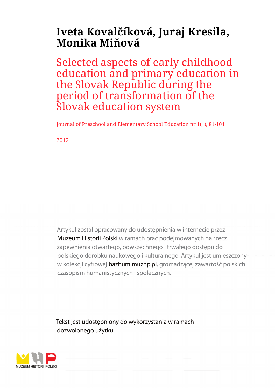# **Iveta Kovalčíková, Juraj Kresila, Monika Miňová**

Selected aspects of early childhood education and primary education in the Slovak Republic during the period of transformation of the Slovak education system

Journal of Preschool and Elementary School Education nr 1(1), 81-104

2012

Artykuł został opracowany do udostępnienia w internecie przez Muzeum Historii Polski w ramach prac podejmowanych na rzecz zapewnienia otwartego, powszechnego i trwałego dostępu do polskiego dorobku naukowego i kulturalnego. Artykuł jest umieszczony w kolekcji cyfrowej bazhum.muzhp.pl, gromadzącej zawartość polskich czasopism humanistycznych i społecznych.

Tekst jest udostępniony do wykorzystania w ramach dozwolonego użytku.

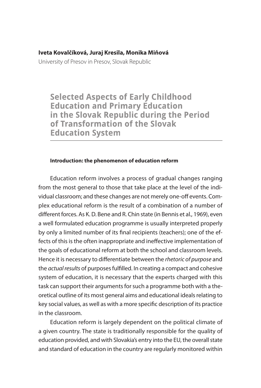#### **Iveta Kovalčíková, Juraj Kresila, Monika Miňová**

University of Presov in Presov, Slovak Republic

**Selected Aspects of Early Childhood Education and Primary Education** in the Slovak Republic during the Period of Transformation of the Slovak **Education System** 

#### **Introduction: the phenomenon of education reform**

Education reform involves a process of gradual changes ranging from the most general to those that take place at the level of the individual classroom; and these changes are not merely one-off events. Complex educational reform is the result of a combination of a number of different forces. As K. D. Bene and R. Chin state (in Bennis et al., 1969), even a well formulated education programme is usually interpreted properly by only a limited number of its final recipients (teachers); one of the effects of this is the often inappropriate and ineffective implementation of the goals of educational reform at both the school and classroom levels. Hence it is necessary to differentiate between the rhetoric of purpose and the actual results of purposes fulfilled. In creating a compact and cohesive system of education, it is necessary that the experts charged with this task can support their arguments for such a programme both with a theoretical outline of its most general aims and educational ideals relating to key social values, as well as with a more specific description of its practice in the classroom.

Education reform is largely dependent on the political climate of a given country. The state is traditionally responsible for the quality of education provided, and with Slovakia's entry into the EU, the overall state and standard of education in the country are regularly monitored within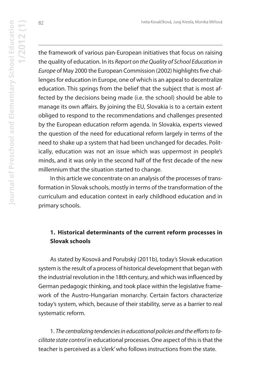the framework of various pan-European initiatives that focus on raising the quality of education. In its Report on the Quality of School Education in Europe of May 2000 the European Commission (2002) highlights five challenges for education in Europe, one of which is an appeal to decentralize education. This springs from the belief that the subject that is most affected by the decisions being made (i.e. the school) should be able to manage its own affairs. By joining the EU, Slovakia is to a certain extent obliged to respond to the recommendations and challenges presented by the European education reform agenda. In Slovakia, experts viewed the question of the need for educational reform largely in terms of the need to shake up a system that had been unchanged for decades. Politically, education was not an issue which was uppermost in people's minds, and it was only in the second half of the first decade of the new millennium that the situation started to change.

In this article we concentrate on an analysis of the processes of transformation in Slovak schools, mostly in terms of the transformation of the curriculum and education context in early childhood education and in primary schools.

## **1. Historical determinants of the current reform processes in Slovak schools**

As stated by Kosová and Porubský (2011b), today's Slovak education system is the result of a process of historical development that began with the industrial revolution in the 18th century, and which was influenced by German pedagogic thinking, and took place within the legislative framework of the Austro-Hungarian monarchy. Certain factors characterize today's system, which, because of their stability, serve as a barrier to real systematic reform.

1. The centralizing tendencies in educational policies and the efforts to facilitate state control in educational processes. One aspect of this is that the teacher is perceived as a 'clerk' who follows instructions from the state.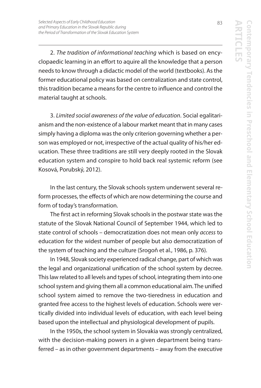2. The tradition of informational teaching which is based on encyclopaedic learning in an effort to aquire all the knowledge that a person needs to know through a didactic model of the world (textbooks). As the former educational policy was based on centralization and state control, this tradition became a means for the centre to influence and control the material taught at schools.

3. Limited social awareness of the value of education. Social egalitarianism and the non-existence of a labour market meant that in many cases simply having a diploma was the only criterion governing whether a person was employed or not, irrespective of the actual quality of his/her education. These three traditions are still very deeply rooted in the Slovak education system and conspire to hold back real systemic reform (see Kosová, Porubský, 2012).

In the last century, the Slovak schools system underwent several reform processes, the effects of which are now determining the course and form of today's transformation.

The first act in reforming Slovak schools in the postwar state was the statute of the Slovak National Council of September 1944, which led to state control of schools – democratization does not mean only access to education for the widest number of people but also democratization of the system of teaching and the culture (Srogoň et al., 1986, p. 376).

In 1948, Slovak society experienced radical change, part of which was the legal and organizational unification of the school system by decree. This law related to all levels and types of school, integrating them into one school system and giving them all a common educational aim. The unified school system aimed to remove the two-tieredness in education and granted free access to the highest levels of education. Schools were vertically divided into individual levels of education, with each level being based upon the intellectual and physiological development of pupils.

In the 1950s, the school system in Slovakia was strongly centralized, with the decision-making powers in a given department being transferred – as in other government departments – away from the executive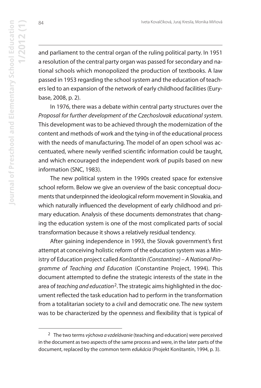and parliament to the central organ of the ruling political party. In 1951 a resolution of the central party organ was passed for secondary and national schools which monopolized the production of textbooks. A law passed in 1953 regarding the school system and the education of teachers led to an expansion of the network of early childhood facilities (Eurybase, 2008, p. 2).

In 1976, there was a debate within central party structures over the Proposal for further development of the Czechoslovak educational system. This development was to be achieved through the modernization of the content and methods of work and the tying-in of the educational process with the needs of manufacturing. The model of an open school was accentuated, where newly verified scientific information could be taught, and which encouraged the independent work of pupils based on new information (SNC, 1983).

The new political system in the 1990s created space for extensive school reform. Below we give an overview of the basic conceptual documents that underpinned the ideological reform movement in Slovakia, and which naturally influenced the development of early childhood and primary education. Analysis of these documents demonstrates that changing the education system is one of the most complicated parts of social transformation because it shows a relatively residual tendency.

After gaining independence in 1993, the Slovak government's first attempt at conceiving holistic reform of the education system was a Ministry of Education project called Konštantín (Constantine) – A National Programme of Teaching and Education (Constantine Project, 1994). This document attempted to define the strategic interests of the state in the area of teaching and education<sup>2</sup>. The strategic aims highlighted in the document reflected the task education had to perform in the transformation from a totalitarian society to a civil and democratic one. The new system was to be characterized by the openness and flexibility that is typical of

84

<sup>&</sup>lt;sup>2</sup> The two terms výchova a vzdelávanie (teaching and education) were perceived in the document as two aspects of the same process and were, in the later parts of the document, replaced by the common term edukácia (Projekt Konštantín, 1994, p. 3).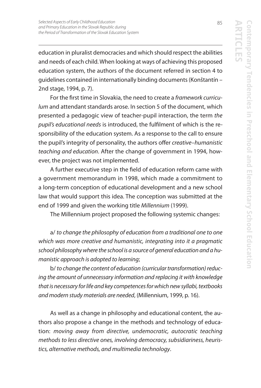education in pluralist democracies and which should respect the abilities and needs of each child. When looking at ways of achieving this proposed education system, the authors of the document referred in section 4 to guidelines contained in internationally binding documents (Konštantín – 2nd stage, 1994, p. 7).

For the first time in Slovakia, the need to create a framework curriculum and attendant standards arose. In section 5 of the document, which presented a pedagogic view of teacher-pupil interaction, the term the pupil's educational needs is introduced, the fulfilment of which is the responsibility of the education system. As a response to the call to ensure the pupil's integrity of personality, the authors offer creative–humanistic teaching and education. After the change of government in 1994, however, the project was not implemented.

A further executive step in the field of education reform came with a government memorandum in 1998, which made a commitment to a long-term conception of educational development and a new school law that would support this idea. The conception was submitted at the end of 1999 and given the working title Millennium (1999).

The Millennium project proposed the following systemic changes:

a/ to change the philosophy of education from a traditional one to one which was more creative and humanistic, integrating into it a pragmatic school philosophy where the school is a source of general education and a humanistic approach is adopted to learning;

b/ to change the content of education (curricular transformation) reducing the amount of unnecessary information and replacing it with knowledge that is necessary for life and key competences for which new syllabi, textbooks and modern study materials are needed, (Millennium, 1999, p. 16).

As well as a change in philosophy and educational content, the authors also propose a change in the methods and technology of education: moving away from directive, undemocratic, autocratic teaching methods to less directive ones, involving democracy, subsidiariness, heuristics, alternative methods, and multimedia technology.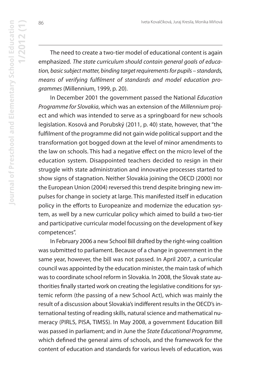The need to create a two-tier model of educational content is again emphasized. The state curriculum should contain general goals of education, basic subject matter, binding target requirements for pupils – standards, means of verifying fulfilment of standards and model education programmes (Millennium, 1999, p. 20).

In December 2001 the government passed the National Education Programme for Slovakia, which was an extension of the Millennium project and which was intended to serve as a springboard for new schools legislation. Kosová and Porubský (2011, p. 40) state, however, that "the fulfilment of the programme did not gain wide political support and the transformation got bogged down at the level of minor amendments to the law on schools. This had a negative effect on the micro level of the education system. Disappointed teachers decided to resign in their struggle with state administration and innovative processes started to show signs of stagnation. Neither Slovakia joining the OECD (2000) nor the European Union (2004) reversed this trend despite bringing new impulses for change in society at large. This manifested itself in education policy in the efforts to Europeanize and modernize the education system, as well by a new curricular policy which aimed to build a two-tier and participative curricular model focussing on the development of key competences".

In February 2006 a new School Bill drafted by the right-wing coalition was submitted to parliament. Because of a change in government in the same year, however, the bill was not passed. In April 2007, a curricular council was appointed by the education minister, the main task of which was to coordinate school reform in Slovakia. In 2008, the Slovak state authorities finally started work on creating the legislative conditions for systemic reform (the passing of a new School Act), which was mainly the result of a discussion about Slovakia's indifferent results in the OECD's international testing of reading skills, natural science and mathematical numeracy (PIRLS, PISA, TIMSS). In May 2008, a government Education Bill was passed in parliament; and in June the State Educational Programme, which defined the general aims of schools, and the framework for the content of education and standards for various levels of education, was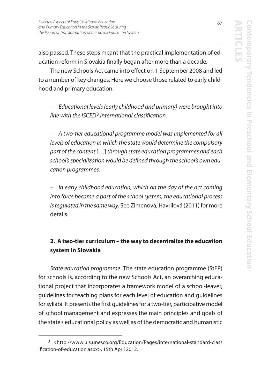also passed. These steps meant that the practical implementation of education reform in Slovakia finally began after more than a decade.

The new Schools Act came into effect on 1 September 2008 and led to a number of key changes. Here we choose those related to early childhood and primary education.

– Educational levels (early childhood and primary) were brought into line with the ISCED<sup>3</sup> international classification.

– A two-tier educational programme model was implemented for all levels of education in which the state would determine the compulsory part of the content […] through state education programmes and each school's specialization would be defined through the school's own education programmes.

– In early childhood education, which on the day of the act coming into force became a part of the school system, the educational process is regulated in the same way. See Zimenová, Havrilová (2011) for more details.

# **2. A two-tier curriculum – the way to decentralize the education system in Slovakia**

State education programme. The state education programme (StEP) for schools is, according to the new Schools Act, an overarching educational project that incorporates a framework model of a school-leaver, guidelines for teaching plans for each level of education and guidelines for syllabi. It presents the first guidelines for a two-tier, participative model of school management and expresses the main principles and goals of the state's educational policy as well as of the democratic and humanistic

<sup>3</sup> <http://www.uis.unesco.org/Education/Pages/international-standard-class ification-of-education.aspx>, 15th April 2012.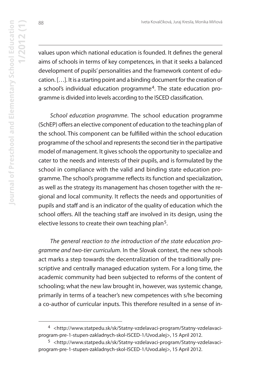88

values upon which national education is founded. It defines the general aims of schools in terms of key competences, in that it seeks a balanced development of pupils' personalities and the framework content of education. […]. It is a starting point and a binding document for the creation of a school's individual education programme<sup>4</sup>. The state education programme is divided into levels according to the ISCED classification.

School education programme. The school education programme (SchEP) offers an elective component of education to the teaching plan of the school. This component can be fulfilled within the school education programme of the school and represents the second tier in the partipative model of management. It gives schools the opportunity to specialize and cater to the needs and interests of their pupils, and is formulated by the school in compliance with the valid and binding state education programme. The school's programme reflects its function and specialization, as well as the strategy its management has chosen together with the regional and local community. It reflects the needs and opportunities of pupils and staff and is an indicator of the quality of education which the school offers. All the teaching staff are involved in its design, using the elective lessons to create their own teaching plan<sup>5</sup>.

The general reaction to the introduction of the state education programme and two-tier curriculum. In the Slovak context, the new schools act marks a step towards the decentralization of the traditionally prescriptive and centrally managed education system. For a long time, the academic community had been subjected to reforms of the content of schooling; what the new law brought in, however, was systemic change, primarily in terms of a teacher's new competences with s/he becoming a co-author of curricular inputs. This therefore resulted in a sense of in-

<sup>4</sup> <http://www.statpedu.sk/sk/Statny-vzdelavaci-program/Statny-vzdelavaciprogram-pre-1-stupen-zakladnych-skol-ISCED-1/Uvod.alej>, 15 April 2012.

<sup>5</sup> <http://www.statpedu.sk/sk/Statny-vzdelavaci-program/Statny-vzdelavaciprogram-pre-1-stupen-zakladnych-skol-ISCED-1/Uvod.alej>, 15 April 2012.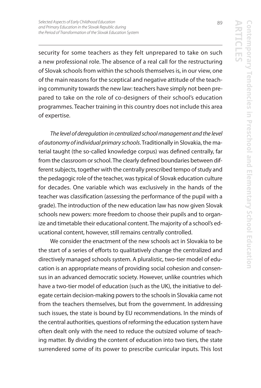security for some teachers as they felt unprepared to take on such a new professional role. The absence of a real call for the restructuring of Slovak schools from within the schools themselves is, in our view, one of the main reasons for the sceptical and negative attitude of the teaching community towards the new law: teachers have simply not been prepared to take on the role of co-designers of their school's education programmes. Teacher training in this country does not include this area of expertise.

The level of deregulation in centralized school management and the level of autonomy of individual primary schools. Traditionally in Slovakia, the material taught (the so-called knowledge corpus) was defined centrally, far from the classroom or school. The clearly defined boundaries between different subjects, together with the centrally prescribed tempo of study and the pedagogic role of the teacher, was typical of Slovak education culture for decades. One variable which was exclusively in the hands of the teacher was classification (assessing the performance of the pupil with a grade). The introduction of the new education law has now given Slovak schools new powers: more freedom to choose their pupils and to organize and timetable their educational content. The majority of a school's educational content, however, still remains centrally controlled.

We consider the enactment of the new schools act in Slovakia to be the start of a series of efforts to qualitatively change the centralized and directively managed schools system. A pluralistic, two-tier model of education is an appropriate means of providing social cohesion and consensus in an advanced democratic society. However, unlike countries which have a two-tier model of education (such as the UK), the initiative to delegate certain decision-making powers to the schools in Slovakia came not from the teachers themselves, but from the government. In addressing such issues, the state is bound by EU recommendations. In the minds of the central authorities, questions of reforming the education system have often dealt only with the need to reduce the outsized volume of teaching matter. By dividing the content of education into two tiers, the state surrendered some of its power to prescribe curricular inputs. This lost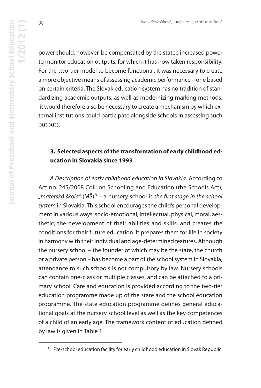90

power should, however, be compensated by the state's increased power to monitor education outputs, for which it has now taken responsibility. For the two-tier model to become functional, it was necessary to create a more objective means of assessing academic performance – one based on certain criteria. The Slovak education system has no tradition of standardizing academic outputs; as well as modernizing marking methods; it would therefore also be necessary to create a mechanism by which external institutions could participate alongside schools in assessing such outputs.

## **3. Selected aspects of the transformation of early childhood education in Slovakia since 1993**

A Description of early childhood education in Slovakia. According to Act no. 245/2008 Coll. on Schooling and Education (the Schools Act), "materská škola" (MŠ)<sup>6</sup> – a nursery school is the first stage in the school system in Slovakia. This school encourages the child's personal development in various ways: socio-emotional, intellectual, physical, moral, aesthetic, the development of their abilities and skills, and creates the conditions for their future education. It prepares them for life in society in harmony with their individual and age-determined features. Although the nursery school – the founder of which may be the state, the church or a private person – has become a part of the school system in Slovakia, attendance to such schools is not compulsory by law. Nursery schools can contain one-class or multiple classes, and can be attached to a primary school. Care and education is provided according to the two-tier education programme made up of the state and the school education programme. The state education programme defines general educational goals at the nursery school level as well as the key competences of a child of an early age. The framework content of education defined by law is given in Table 1.

<sup>6</sup> Pre-school education facility for early childhood education in Slovak Republic.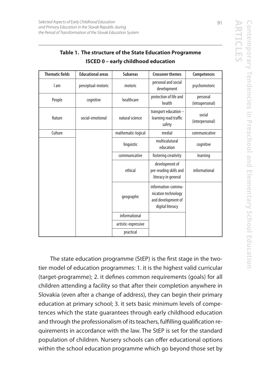| <b>Thematic fields</b> | <b>Educational areas</b> | <b>Subareas</b>     | <b>Crossover themes</b>                                                             | <b>Competences</b>          |
|------------------------|--------------------------|---------------------|-------------------------------------------------------------------------------------|-----------------------------|
| I am                   | perceptual-motoric       | motoric             | personal and social<br>development                                                  | psychomotoric               |
| People                 | cognitive                | healthcare          | protection of life and<br>health                                                    | personal<br>(intrapersonal) |
| Nature                 | social-emotional         | natural science     | transport education -<br>learning road traffic<br>safety                            | social<br>(interpersonal)   |
| Culture                |                          | mathematic-logical  | medial                                                                              | communicative               |
|                        |                          | linguistic          | multiculutural<br>education                                                         | cognitive                   |
|                        |                          | communicative       | fostering creativity                                                                | learning                    |
|                        |                          | ethical             | development of<br>pre-reading skills and<br>literacy in general                     | informational               |
|                        |                          | geographic          | information-commu-<br>nication technology<br>and development of<br>digital literacy |                             |
|                        |                          | informational       |                                                                                     |                             |
|                        |                          | artistic-expressive |                                                                                     |                             |
|                        |                          | practical           |                                                                                     |                             |

## **Table 1. The structure of the State Education Programme ISCED 0 – early childhood education**

The state education programme (StEP) is the first stage in the twotier model of education programmes: 1. it is the highest valid curricular (target-programme); 2. it defines common requirements (goals) for all children attending a facility so that after their completion anywhere in Slovakia (even after a change of address), they can begin their primary education at primary school; 3. it sets basic minimum levels of competences which the state guarantees through early childhood education and through the professionalism of its teachers, fulfilling qualification requirements in accordance with the law. The StEP is set for the standard population of children. Nursery schools can offer educational options within the school education programme which go beyond those set by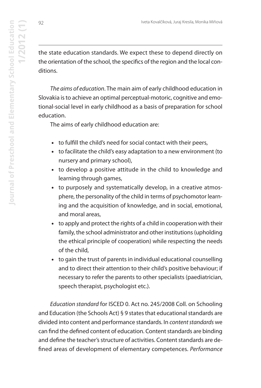the state education standards. We expect these to depend directly on the orientation of the school, the specifics of the region and the local conditions.

The aims of education. The main aim of early childhood education in Slovakia is to achieve an optimal perceptual-motoric, cognitive and emotional-social level in early childhood as a basis of preparation for school education.

The aims of early childhood education are:

- **•** to fulfill the child's need for social contact with their peers,
- **•** to facilitate the child's easy adaptation to a new environment (to nursery and primary school),
- **•** to develop a positive attitude in the child to knowledge and learning through games,
- **•** to purposely and systematically develop, in a creative atmosphere, the personality of the child in terms of psychomotor learning and the acquisition of knowledge, and in social, emotional, and moral areas,
- **•** to apply and protect the rights of a child in cooperation with their family, the school administrator and other institutions (upholding the ethical principle of cooperation) while respecting the needs of the child,
- **•** to gain the trust of parents in individual educational counselling and to direct their attention to their child's positive behaviour; if necessary to refer the parents to other specialists (paediatrician, speech therapist, psychologist etc.).

Education standard for ISCED 0. Act no. 245/2008 Coll. on Schooling and Education (the Schools Act) § 9 states that educational standards are divided into content and performance standards. In content standards we can find the defined content of education. Content standards are binding and define the teacher's structure of activities. Content standards are defined areas of development of elementary competences. Performance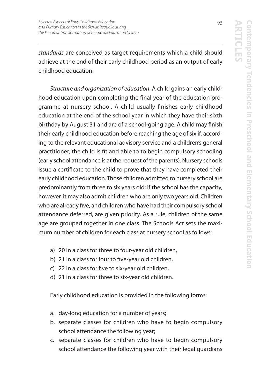standards are conceived as target requirements which a child should achieve at the end of their early childhood period as an output of early childhood education.

Structure and organization of education. A child gains an early childhood education upon completing the final year of the education programme at nursery school. A child usually finishes early childhood education at the end of the school year in which they have their sixth birthday by August 31 and are of a school-going age. A child may finish their early childhood education before reaching the age of six if, according to the relevant educational advisory service and a children's general practitioner, the child is fit and able to to begin compulsory schooling (early school attendance is at the request of the parents). Nursery schools issue a certificate to the child to prove that they have completed their early childhood education. Those children admitted to nursery school are predominantly from three to six years old; if the school has the capacity, however, it may also admit children who are only two years old. Children who are already five, and children who have had their compulsory school attendance deferred, are given priority. As a rule, children of the same age are grouped together in one class. The Schools Act sets the maximum number of children for each class at nursery school as follows:

- a) 20 in a class for three to four-year old children,
- b) 21 in a class for four to five-year old children,
- c) 22 in a class for five to six-year old children,
- d) 21 in a class for three to six-year old children.

Early childhood education is provided in the following forms:

- a. day-long education for a number of years;
- b. separate classes for children who have to begin compulsory school attendance the following year;
- c. separate classes for children who have to begin compulsory school attendance the following year with their legal guardians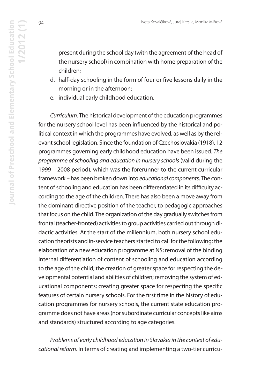present during the school day (with the agreement of the head of the nursery school) in combination with home preparation of the children;

- d. half-day schooling in the form of four or five lessons daily in the morning or in the afternoon;
- e. individual early childhood education.

Curriculum. The historical development of the education programmes for the nursery school level has been influenced by the historical and political context in which the programmes have evolved, as well as by the relevant school legislation. Since the foundation of Czechoslovakia (1918), 12 programmes governing early childhood education have been issued. The programme of schooling and education in nursery schools (valid during the 1999 – 2008 period), which was the forerunner to the current curricular framework – has been broken down into educational components. The content of schooling and education has been differentiated in its difficulty according to the age of the children. There has also been a move away from the dominant directive position of the teacher, to pedagogic approaches that focus on the child. The organization of the day gradually switches from frontal (teacher-fronted) activities to group activities carried out through didactic activities. At the start of the millennium, both nursery school education theorists and in-service teachers started to call for the following: the elaboration of a new education programme at NS; removal of the binding internal differentiation of content of schooling and education according to the age of the child; the creation of greater space for respecting the developmental potential and abilities of children; removing the system of educational components; creating greater space for respecting the specific features of certain nursery schools. For the first time in the history of education programmes for nursery schools, the current state education programme does not have areas (nor subordinate curricular concepts like aims and standards) structured according to age categories.

Problems of early childhood education in Slovakia in the context of educational reform. In terms of creating and implementing a two-tier curricu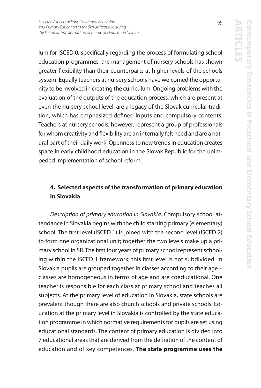lum for ISCED 0, specifically regarding the process of formulating school education programmes, the management of nursery schools has shown greater flexibility than their counterparts at higher levels of the schools system. Equally teachers at nursery schools have welcomed the opportunity to be involved in creating the curriculum. Ongoing problems with the evaluation of the outputs of the education process, which are present at even the nursery school level, are a legacy of the Slovak curricular tradition, which has emphasized defined inputs and compulsory contents. Teachers at nursery schools, however, represent a group of professionals for whom creativity and flexibility are an internally felt need and are a natural part of their daily work. Openness to new trends in education creates space in early childhood education in the Slovak Republic for the unimpeded implementation of school reform.

# **4. Selected aspects of the transformation of primary education in Slovakia**

Description of primary education in Slovakia. Compulsory school attendance in Slovakia begins with the child starting primary (elementary) school. The first level (ISCED 1) is joined with the second level (ISCED 2) to form one organizational unit; together the two levels make up a primary school in SR. The first four years of primary school represent schooling within the ISCED 1 framework; this first level is not subdivided. In Slovakia pupils are grouped together in classes according to their age – classes are homogeneous in terms of age and are coeducational. One teacher is responsible for each class at primary school and teaches all subjects. At the primary level of education in Slovakia, state schools are prevalent though there are also church schools and private schools. Education at the primary level in Slovakia is controlled by the state education programme in which normative requirements for pupils are set using educational standards. The content of primary education is divided into 7 educational areas that are derived from the definition of the content of education and of key competences. **The state programme uses the**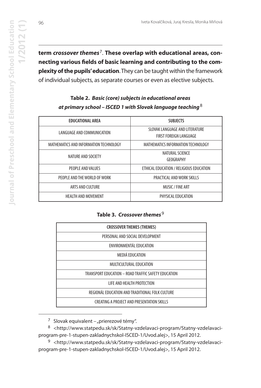96

**term** *crossover themes*7. **These overlap with educational areas, connecting various fields of basic learning and contributing to the complexity of the pupils' education**. They can be taught within the framework of individual subjects, as separate courses or even as elective subjects.

### **Table 2.** *Basic (core) subjects in educational areas at primary school – ISCED 1 with Slovak language teaching*<sup>8</sup>

| <b>EDUCATIONAL AREA</b>                | <b>SUBJECTS</b>                                          |  |
|----------------------------------------|----------------------------------------------------------|--|
| LANGUAGE AND COMMUNICATION             | SLOVAK LANGUAGE AND LITERATURE<br>FIRST FOREIGN LANGUAGE |  |
| MATHEMATICS AND INFORMATION TECHNOLOGY | MATHEMATICS INFORMATION TECHNOLOGY                       |  |
| NATURE AND SOCIETY                     | NATURAL SCIENCE<br>GEOGRAPHY                             |  |
| PEOPLE AND VALUES                      | ETHICAL EDUCATION / RELIGIOUS EDUCATION                  |  |
| PEOPLE AND THE WORLD OF WORK           | PRACTICAL AND WORK SKILLS                                |  |
| ARTS AND CULTURE                       | MUSIC / FINE ART                                         |  |
| <b>HEALTH AND MOVEMENT</b>             | PHYSICAL EDUCATION                                       |  |

**Table 3. Crossover themes**<sup>9</sup>

| <b>CROSSOVER THEMES (THEMES)</b>                    |
|-----------------------------------------------------|
| PERSONAL AND SOCIAL DEVELOPMENT                     |
| ENVIRONMENTÁL EDUCATION                             |
| MEDIÁ EDUCATION                                     |
| MULTICULTURAL EDUCATION                             |
| TRANSPORT EDUCATION - ROAD TRAFFIC SAFETY EDUCATION |
| <b>LIFE AND HEALTH PROTECTION</b>                   |
| REGIONÁL EDUCATION AND TRADITIONAL FOLK CULTURE     |
| CREATING A PROJECT AND PRESENTATION SKILLS          |

<sup>7</sup> Slovak equivalent – "prierezové témy".

8 <http://www.statpedu.sk/sk/Statny-vzdelavaci-program/Statny-vzdelavaciprogram-pre-1-stupen-zakladnychskol-ISCED-1/Uvod.alej>, 15 April 2012.

9 <http://www.statpedu.sk/sk/Statny-vzdelavaci-program/Statny-vzdelavaciprogram-pre-1-stupen-zakladnychskol-ISCED-1/Uvod.alej>, 15 April 2012.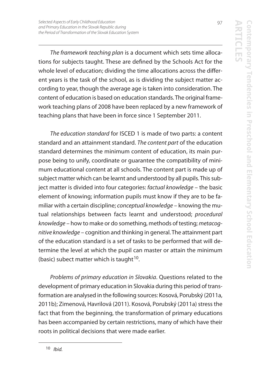The framework teaching plan is a document which sets time allocations for subjects taught. These are defined by the Schools Act for the whole level of education; dividing the time allocations across the different years is the task of the school, as is dividing the subject matter according to year, though the average age is taken into consideration. The content of education is based on education standards. The original framework teaching plans of 2008 have been replaced by a new framework of teaching plans that have been in force since 1 September 2011.

The education standard for ISCED 1 is made of two parts: a content standard and an attainment standard. The content part of the education standard determines the minimum content of education, its main purpose being to unify, coordinate or guarantee the compatibility of minimum educational content at all schools. The content part is made up of subject matter which can be learnt and understood by all pupils. This subject matter is divided into four categories: factual knowledge – the basic element of knowing; information pupils must know if they are to be familiar with a certain discipline; conceptual knowledge – knowing the mutual relationships between facts learnt and understood; procedural knowledge – how to make or do something, methods of testing; metacognitive knowledge – cognition and thinking in general. The attainment part of the education standard is a set of tasks to be performed that will determine the level at which the pupil can master or attain the minimum (basic) subect matter which is taught  $10$ .

Problems of primary education in Slovakia. Questions related to the development of primary education in Slovakia during this period of transformation are analysed in the following sources: Kosová, Porubský (2011a, 2011b); Zimenová, Havrilová (2011). Kosová, Porubský (2011a) stress the fact that from the beginning, the transformation of primary educations has been accompanied by certain restrictions, many of which have their roots in political decisions that were made earlier.

<sup>10</sup> Ibid.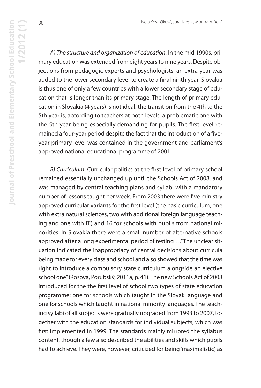A) The structure and organization of education. In the mid 1990s, primary education was extended from eight years to nine years. Despite objections from pedagogic experts and psychologists, an extra year was added to the lower secondary level to create a final ninth year. Slovakia is thus one of only a few countries with a lower secondary stage of education that is longer than its primary stage. The length of primary education in Slovakia (4 years) is not ideal; the transition from the 4th to the 5th year is, according to teachers at both levels, a problematic one with the 5th year being especially demanding for pupils. The first level remained a four-year period despite the fact that the introduction of a fiveyear primary level was contained in the government and parliament's approved national educational programme of 2001.

B) Curriculum. Curricular politics at the first level of primary school remained essentially unchanged up until the Schools Act of 2008, and was managed by central teaching plans and syllabi with a mandatory number of lessons taught per week. From 2003 there were five ministry approved curricular variants for the first level (the basic curriculum, one with extra natural sciences, two with additional foreign language teaching and one with IT) and 16 for schools with pupils from national minorities. In Slovakia there were a small number of alternative schools approved after a long experimental period of testing …"The unclear situation indicated the inappropriacy of central decisions about curricula being made for every class and school and also showed that the time was right to introduce a compulsory state curriculum alongside an elective school one" (Kosová, Porubský, 2011a, p. 41). The new Schools Act of 2008 introduced for the the first level of school two types of state education programme: one for schools which taught in the Slovak language and one for schools which taught in national minority languages. The teaching syllabi of all subjects were gradually upgraded from 1993 to 2007, together with the education standards for individual subjects, which was first implemented in 1999. The standards mainly mirrored the syllabus content, though a few also described the abilities and skills which pupils had to achieve. They were, however, criticized for being 'maximalistic', as

**1/2012 (1)**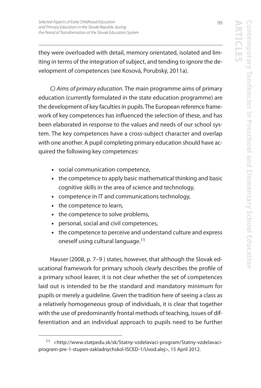they were overloaded with detail, memory orientated, isolated and limiting in terms of the integration of subject, and tending to ignore the development of competences (see Kosová, Porubský, 2011a).

C) Aims of primary education. The main programme aims of primary education (currently formulated in the state education programme) are the development of key faculties in pupils. The European reference framework of key competences has influenced the selection of these, and has been elaborated in response to the values and needs of our school system. The key competences have a cross-subject character and overlap with one another. A pupil completing primary education should have acquired the following key competences:

- **•** social communication competence,
- **•** the competence to apply basic mathematical thinking and basic cognitive skills in the area of science and technology,
- **•** competence in IT and communications technology,
- **•** the competence to learn,
- **•** the competence to solve problems,
- **•** personal, social and civil competences,
- **•** the competence to perceive and understand culture and express oneself using cultural language.<sup>11</sup>

Hauser (2008, p. 7–9 ) states, however, that although the Slovak educational framework for primary schools clearly describes the profile of a primary school leaver, it is not clear whether the set of competences laid out is intended to be the standard and mandatory minimum for pupils or merely a guideline. Given the tradition here of seeing a class as a relatively homogeneous group of individuals, it is clear that together with the use of predominantly frontal methods of teaching, issues of differentiation and an individual approach to pupils need to be further

<sup>11</sup> <http://www.statpedu.sk/sk/Statny-vzdelavaci-program/Statny-vzdelavaciprogram-pre-1-stupen-zakladnychskol-ISCED-1/Uvod.alej>, 15 April 2012.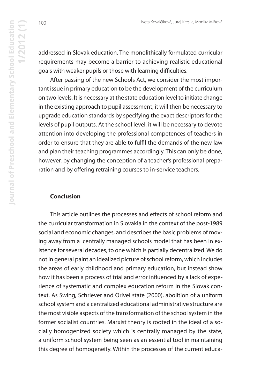addressed in Slovak education. The monolithically formulated curricular requirements may become a barrier to achieving realistic educational goals with weaker pupils or those with learning difficulties.

After passing of the new Schools Act, we consider the most important issue in primary education to be the development of the curriculum on two levels. It is necessary at the state education level to initiate change in the existing approach to pupil assessment; it will then be necessary to upgrade education standards by specifying the exact descriptors for the levels of pupil outputs. At the school level, it will be necessary to devote attention into developing the professional competences of teachers in order to ensure that they are able to fulfil the demands of the new law and plan their teaching programmes accordingly. This can only be done, however, by changing the conception of a teacher's professional preparation and by offering retraining courses to in-service teachers.

#### **Conclusion**

This article outlines the processes and effects of school reform and the curricular transformation in Slovakia in the context of the post-1989 social and economic changes, and describes the basic problems of moving away from a centrally managed schools model that has been in existence for several decades, to one which is partially decentralized. We do not in general paint an idealized picture of school reform, which includes the areas of early childhood and primary education, but instead show how it has been a process of trial and error influenced by a lack of experience of systematic and complex education reform in the Slovak context. As Swing, Schriever and Orivel state (2000), abolition of a uniform school system and a centralized educational administrative structure are the most visible aspects of the transformation of the school system in the former socialist countries. Marxist theory is rooted in the ideal of a socially homogenized society which is centrally managed by the state, a uniform school system being seen as an essential tool in maintaining this degree of homogeneity. Within the processes of the current educa-

**Journal of Preschool and Elementary School Education**

Journal of Preschool and Elementary School Education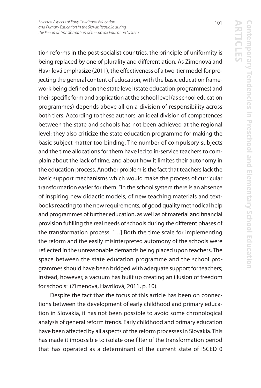**ARTICLES Contemporary Tendencies in Preschool and Elementary School Education** ontemporary Tendencies in Preschool and Elementary School Education

tion reforms in the post-socialist countries, the principle of uniformity is being replaced by one of plurality and differentiation. As Zimenová and Havrilová emphasize (2011), the effectiveness of a two-tier model for projecting the general content of education, with the basic education framework being defined on the state level (state education programmes) and their specific form and application at the school level (as school education programmes) depends above all on a division of responsibility across both tiers. According to these authors, an ideal division of competences between the state and schools has not been achieved at the regional level; they also criticize the state education programme for making the basic subject matter too binding. The number of compulsory subjects and the time allocations for them have led to in-service teachers to complain about the lack of time, and about how it limites their autonomy in the education process. Another problem is the fact that teachers lack the basic support mechanisms which would make the process of curricular transformation easier for them. "In the school system there is an absence of inspiring new didactic models, of new teaching materials and textbooks reacting to the new requirements, of good quality methodical help and programmes of further education, as well as of material and financial provision fufilling the real needs of schools during the different phases of the transformation process. […] Both the time scale for implementing the reform and the easily misinterpreted automony of the schools were reflected in the unreasonable demands being placed upon teachers. The space between the state education programme and the school programmes should have been bridged with adequate support for teachers; instead, however, a vacuum has built up creating an illusion of freedom for schools" (Zimenová, Havrilová, 2011, p. 10).

Despite the fact that the focus of this article has been on connections between the development of early childhood and primary education in Slovakia, it has not been possible to avoid some chronological analysis of general reform trends. Early childhood and primary education have been affected by all aspects of the reform processes in Slovakia. This has made it impossible to isolate one filter of the transformation period that has operated as a determinant of the current state of ISCED 0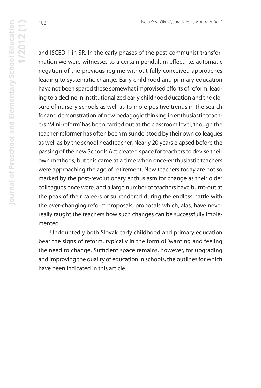and ISCED 1 in SR. In the early phases of the post-communist transformation we were witnesses to a certain pendulum effect, i.e. automatic negation of the previous regime without fully conceived approaches leading to systematic change. Early childhood and primary education have not been spared these somewhat improvised efforts of reform, leading to a decline in institutionalized early childhood ducation and the closure of nursery schools as well as to more positive trends in the search for and demonstration of new pedagogic thinking in enthusiastic teachers. 'Mini-reform' has been carried out at the classroom level, though the teacher-reformer has often been misunderstood by their own colleagues as well as by the school headteacher. Nearly 20 years elapsed before the passing of the new Schools Act created space for teachers to devise their own methods; but this came at a time when once-enthusiastic teachers were approaching the age of retirement. New teachers today are not so marked by the post-revolutionary enthusiasm for change as their older colleagues once were, and a large number of teachers have burnt-out at the peak of their careers or surrendered during the endless battle with the ever-changing reform proposals, proposals which, alas, have never really taught the teachers how such changes can be successfully implemented.

Undoubtedly both Slovak early childhood and primary education bear the signs of reform, typically in the form of 'wanting and feeling the need to change'. Sufficient space remains, however, for upgrading and improving the quality of education in schools, the outlines for which have been indicated in this article.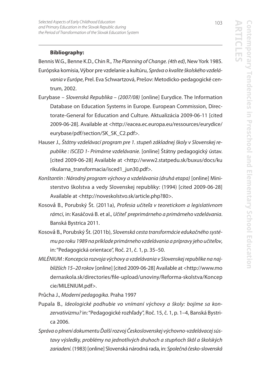#### **Bibliography:**

Bennis W.G., Benne K.D., Chin R., The Planning of Change. (4th ed), New York 1985.

- Európska komisia, Výbor pre vzdelanie a kultúru, Správa o kvalite školského vzdelávania v Európe, Prel. Eva Schwartzová, Prešov: Metodicko-pedagogické centrum, 2002.
- Eurybase Slovenská Republika (2007/08) [online] Eurydice. The Information Database on Education Systems in Europe. European Commission, Directorate-General for Education and Culture. Aktualizácia 2009-06-11 [cited 2009-06-28]. Available at <http://eacea.ec.europa.eu/ressources/eurydice/ eurybase/pdf/section/SK\_SK\_C2.pdf>.
- Hauser J., Štátny vzdelávací program pre 1. stupeň základnej školy v Slovenskej republike : ISCED 1- Primárne vzdelávanie. [online] Štátny pedagogický ústav. [cited 2009-06-28] Available at <http://www2.statpedu.sk/buxus/docs/ku rikularna\_transformacia/isced1\_jun30.pdf>.
- Konštantín : Národný program výchovy a vzdelávania (druhá etapa) [online] Ministerstvo školstva a vedy Slovenskej republiky: (1994) [cited 2009-06-28] Available at <http://noveskolstvo.sk/article.php?80>.
- Kosová B., Porubský Št. (2011a), Profesia učiteľa v teoretickom a legislatívnom rámci, in: Kasáčová B. et al., Učiteľ preprimárneho a primárneho vzdelávania. Banská Bystrica 2011.
- Kosová B., Porubský Št. (2011b), Slovenská cesta transformácie edukačného systému po roku 1989 na príklade primárneho vzdelávania a prípravy jeho učiteľov, in: "Pedagogická orientace", Roč. 21, č. 1, p. 35–50.
- MILÉNIUM : Koncepcia rozvoja výchovy a vzdelávania v Slovenskej republike na najbližších 15–20 rokov [online] [cited 2009-06-28] Available at <http://www.mo dernaskola.sk/directories/file-upload/unoviny/Reforma-skolstva/Koncep cie/MILENIUM.pdf>.

Průcha J., Moderní pedagogika. Praha 1997

- Pupala B., Ideologické podhubie vo vnímaní výchovy a školy: bojíme sa konzervativizmu?in: "Pedagogické rozhľady", Roč. 15, č. 1, p. 1–4, Banská Bystrica 2006.
- Správa o plnení dokumentu Ďalší rozvoj Československej výchovno-vzdelávacej sústavy výsledky, problémy na jednotlivých druhoch a stupňoch škôl a školských zariadení. (1983) [online] Slovenská národná rada, in: Společná česko-slovenská